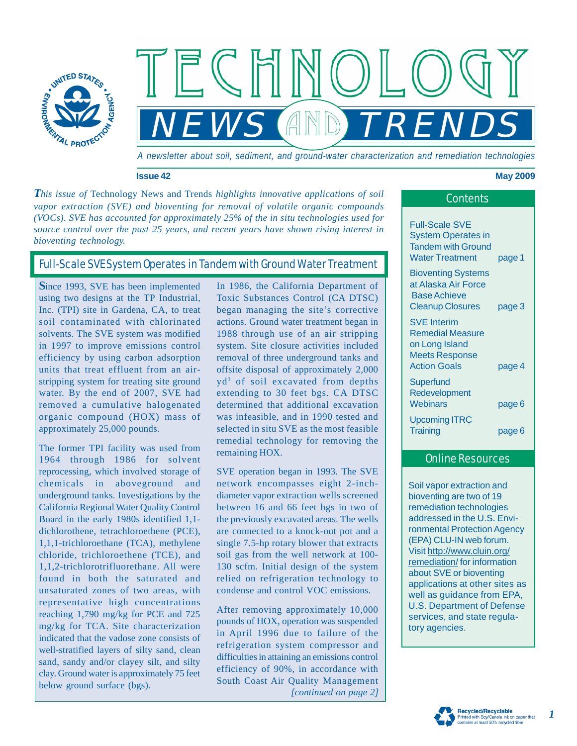

*A newsletter about soil, sediment, and ground-water characterization and remediation technologies*

*NEWS TRENDS*

and

#### **Issue 42 May 2009**

**This issue of Technology News and Trends** *highlights innovative applications of soil* **Contents** *vapor extraction (SVE) and bioventing for removal of volatile organic compounds (VOCs). SVE has accounted for approximately 25% of the in situ technologies used for source control over the past 25 years, and recent years have shown rising interest in bioventing technology.*

# Full-Scale SVE System Operates in Tandem with Ground Water Treatment

**S**ince 1993, SVE has been implemented using two designs at the TP Industrial, Inc. (TPI) site in Gardena, CA, to treat soil contaminated with chlorinated solvents. The SVE system was modified in 1997 to improve emissions control efficiency by using carbon adsorption units that treat effluent from an airstripping system for treating site ground water. By the end of 2007, SVE had removed a cumulative halogenated organic compound (HOX) mass of approximately 25,000 pounds.

The former TPI facility was used from 1964 through 1986 for solvent reprocessing, which involved storage of chemicals in aboveground and underground tanks. Investigations by the California Regional Water Quality Control Board in the early 1980s identified 1,1 dichlorothene, tetrachloroethene (PCE), 1,1,1-trichloroethane (TCA), methylene chloride, trichloroethene (TCE), and 1,1,2-trichlorotrifluorethane. All were found in both the saturated and unsaturated zones of two areas, with representative high concentrations reaching 1,790 mg/kg for PCE and 725 mg/kg for TCA. Site characterization indicated that the vadose zone consists of well-stratified layers of silty sand, clean sand, sandy and/or clayey silt, and silty clay. Ground water is approximately 75 feet below ground surface (bgs).

In 1986, the California Department of Toxic Substances Control (CA DTSC) began managing the site's corrective actions. Ground water treatment began in 1988 through use of an air stripping system. Site closure activities included removal of three underground tanks and offsite disposal of approximately 2,000 yd3 of soil excavated from depths extending to 30 feet bgs. CA DTSC determined that additional excavation was infeasible, and in 1990 tested and selected in situ SVE as the most feasible remedial technology for removing the remaining HOX.

SVE operation began in 1993. The SVE network encompasses eight 2-inchdiameter vapor extraction wells screened between 16 and 66 feet bgs in two of the previously excavated areas. The wells are connected to a knock-out pot and a single 7.5-hp rotary blower that extracts soil gas from the well network at 100- 130 scfm. Initial design of the system relied on refrigeration technology to condense and control VOC emissions.

*[continued on page 2]* After removing approximately 10,000 pounds of HOX, operation was suspended in April 1996 due to failure of the refrigeration system compressor and difficulties in attaining an emissions control efficiency of 90%, in accordance with South Coast Air Quality Management

| <b>Full-Scale SVE</b><br><b>System Operates in</b>                                                 |        |
|----------------------------------------------------------------------------------------------------|--------|
| <b>Tandem with Ground</b><br><b>Water Treatment</b>                                                | page 1 |
| <b>Bioventing Systems</b><br>at Alaska Air Force<br><b>Base Achieve</b><br><b>Cleanup Closures</b> | page 3 |
| <b>SVE Interim</b><br><b>Remedial Measure</b><br>on Long Island<br><b>Meets Response</b>           |        |
| <b>Action Goals</b><br>Superfund<br>Redevelopment                                                  | page 4 |
| Webinars                                                                                           | page 6 |
| <b>Upcoming ITRC</b><br>Training                                                                   | page 6 |

## Online Resources

Soil vapor extraction and bioventing are two of 19 remediation technologies addressed in the U.S. Environmental Protection Agency (EPA) CLU-IN web forum. Visit http://www.cluin.org/ remediation/ for information about SVE or bioventing applications at other sites as well as guidance from EPA, U.S. Department of Defense services, and state regulatory agencies.

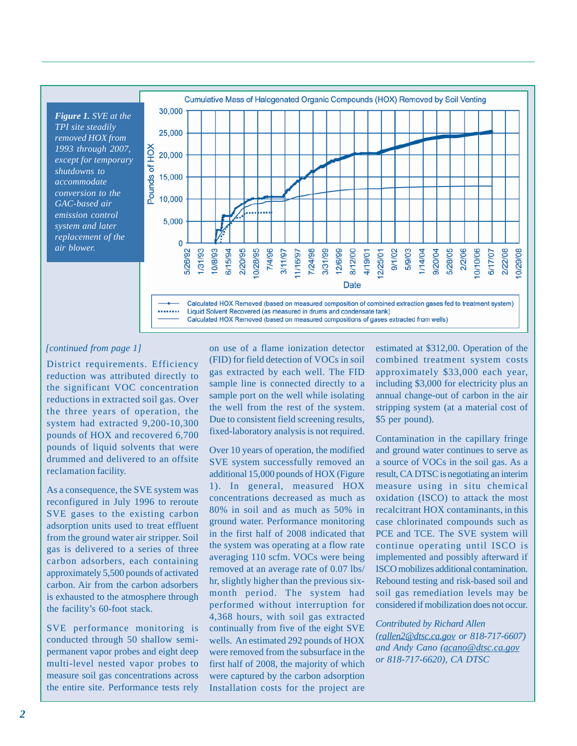*Figure 1. SVE at the TPI site steadily removed HOX from 1993 through 2007, except for temporary shutdowns to accommodate conversion to the GAC-based air emission control system and later replacement of the air blower.*



#### *[continued from page 1]*

District requirements. Efficiency reduction was attributed directly to the significant VOC concentration reductions in extracted soil gas. Over the three years of operation, the system had extracted 9,200-10,300 pounds of HOX and recovered 6,700 pounds of liquid solvents that were drummed and delivered to an offsite reclamation facility.

As a consequence, the SVE system was reconfigured in July 1996 to reroute SVE gases to the existing carbon adsorption units used to treat effluent from the ground water air stripper. Soil gas is delivered to a series of three carbon adsorbers, each containing approximately 5,500 pounds of activated carbon. Air from the carbon adsorbers is exhausted to the atmosphere through the facility's 60-foot stack.

SVE performance monitoring is conducted through 50 shallow semipermanent vapor probes and eight deep multi-level nested vapor probes to measure soil gas concentrations across the entire site. Performance tests rely

on use of a flame ionization detector (FID) for field detection of VOCs in soil gas extracted by each well. The FID sample line is connected directly to a sample port on the well while isolating the well from the rest of the system. Due to consistent field screening results, fixed-laboratory analysis is not required.

Over 10 years of operation, the modified SVE system successfully removed an additional 15,000 pounds of HOX (Figure 1). In general, measured HOX concentrations decreased as much as 80% in soil and as much as 50% in ground water. Performance monitoring in the first half of 2008 indicated that the system was operating at a flow rate averaging 110 scfm. VOCs were being removed at an average rate of 0.07 lbs/ hr, slightly higher than the previous sixmonth period. The system had performed without interruption for 4,368 hours, with soil gas extracted continually from five of the eight SVE wells. An estimated 292 pounds of HOX were removed from the subsurface in the first half of 2008, the majority of which were captured by the carbon adsorption Installation costs for the project are

estimated at \$312,00. Operation of the combined treatment system costs approximately \$33,000 each year, including \$3,000 for electricity plus an annual change-out of carbon in the air stripping system (at a material cost of \$5 per pound).

Contamination in the capillary fringe and ground water continues to serve as a source of VOCs in the soil gas. As a result, CA DTSC is negotiating an interim measure using in situ chemical oxidation (ISCO) to attack the most recalcitrant HOX contaminants, in this case chlorinated compounds such as PCE and TCE. The SVE system will continue operating until ISCO is implemented and possibly afterward if ISCO mobilizes additional contamination. Rebound testing and risk-based soil and soil gas remediation levels may be considered if mobilization does not occur.

*Contributed by Richard Allen (rallen2@dtsc.ca.gov or 818-717-6607) and Andy Cano (acano@dtsc.ca.gov or 818-717-6620), CA DTSC*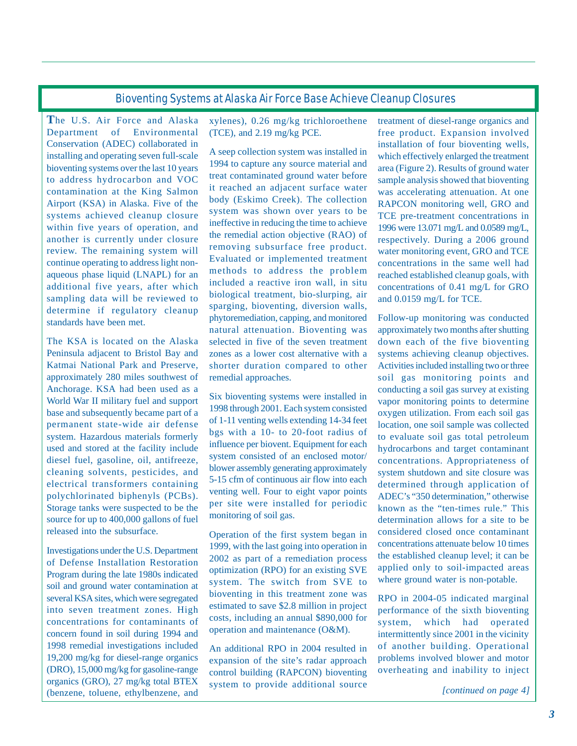## Bioventing Systems at Alaska Air Force Base Achieve Cleanup Closures

**T**he U.S. Air Force and Alaska Department of Environmental Conservation (ADEC) collaborated in installing and operating seven full-scale bioventing systems over the last 10 years to address hydrocarbon and VOC contamination at the King Salmon Airport (KSA) in Alaska. Five of the systems achieved cleanup closure within five years of operation, and another is currently under closure review. The remaining system will continue operating to address light nonaqueous phase liquid (LNAPL) for an additional five years, after which sampling data will be reviewed to determine if regulatory cleanup standards have been met.

The KSA is located on the Alaska Peninsula adjacent to Bristol Bay and Katmai National Park and Preserve, approximately 280 miles southwest of Anchorage. KSA had been used as a World War II military fuel and support base and subsequently became part of a permanent state-wide air defense system. Hazardous materials formerly used and stored at the facility include diesel fuel, gasoline, oil, antifreeze, cleaning solvents, pesticides, and electrical transformers containing polychlorinated biphenyls (PCBs). Storage tanks were suspected to be the source for up to 400,000 gallons of fuel released into the subsurface.

Investigations under the U.S. Department of Defense Installation Restoration Program during the late 1980s indicated soil and ground water contamination at several KSA sites, which were segregated into seven treatment zones. High concentrations for contaminants of concern found in soil during 1994 and 1998 remedial investigations included 19,200 mg/kg for diesel-range organics (DRO), 15,000 mg/kg for gasoline-range organics (GRO), 27 mg/kg total BTEX (benzene, toluene, ethylbenzene, and

xylenes), 0.26 mg/kg trichloroethene (TCE), and 2.19 mg/kg PCE.

A seep collection system was installed in 1994 to capture any source material and treat contaminated ground water before it reached an adjacent surface water body (Eskimo Creek). The collection system was shown over years to be ineffective in reducing the time to achieve the remedial action objective (RAO) of removing subsurface free product. Evaluated or implemented treatment methods to address the problem included a reactive iron wall, in situ biological treatment, bio-slurping, air sparging, bioventing, diversion walls, phytoremediation, capping, and monitored natural attenuation. Bioventing was selected in five of the seven treatment zones as a lower cost alternative with a shorter duration compared to other remedial approaches.

Six bioventing systems were installed in 1998 through 2001. Each system consisted of 1-11 venting wells extending 14-34 feet bgs with a 10- to 20-foot radius of influence per biovent. Equipment for each system consisted of an enclosed motor/ blower assembly generating approximately 5-15 cfm of continuous air flow into each venting well. Four to eight vapor points per site were installed for periodic monitoring of soil gas.

Operation of the first system began in 1999, with the last going into operation in 2002 as part of a remediation process optimization (RPO) for an existing SVE system. The switch from SVE to bioventing in this treatment zone was estimated to save \$2.8 million in project costs, including an annual \$890,000 for operation and maintenance (O&M).

An additional RPO in 2004 resulted in expansion of the site's radar approach control building (RAPCON) bioventing system to provide additional source treatment of diesel-range organics and free product. Expansion involved installation of four bioventing wells, which effectively enlarged the treatment area (Figure 2). Results of ground water sample analysis showed that bioventing was accelerating attenuation. At one RAPCON monitoring well, GRO and TCE pre-treatment concentrations in 1996 were 13.071 mg/L and 0.0589 mg/L, respectively. During a 2006 ground water monitoring event, GRO and TCE concentrations in the same well had reached established cleanup goals, with concentrations of 0.41 mg/L for GRO and 0.0159 mg/L for TCE.

Follow-up monitoring was conducted approximately two months after shutting down each of the five bioventing systems achieving cleanup objectives. Activities included installing two or three soil gas monitoring points and conducting a soil gas survey at existing vapor monitoring points to determine oxygen utilization. From each soil gas location, one soil sample was collected to evaluate soil gas total petroleum hydrocarbons and target contaminant concentrations. Appropriateness of system shutdown and site closure was determined through application of ADEC's "350 determination," otherwise known as the "ten-times rule." This determination allows for a site to be considered closed once contaminant concentrations attenuate below 10 times the established cleanup level; it can be applied only to soil-impacted areas where ground water is non-potable.

RPO in 2004-05 indicated marginal performance of the sixth bioventing system, which had operated intermittently since 2001 in the vicinity of another building. Operational problems involved blower and motor overheating and inability to inject

*[continued on page 4]*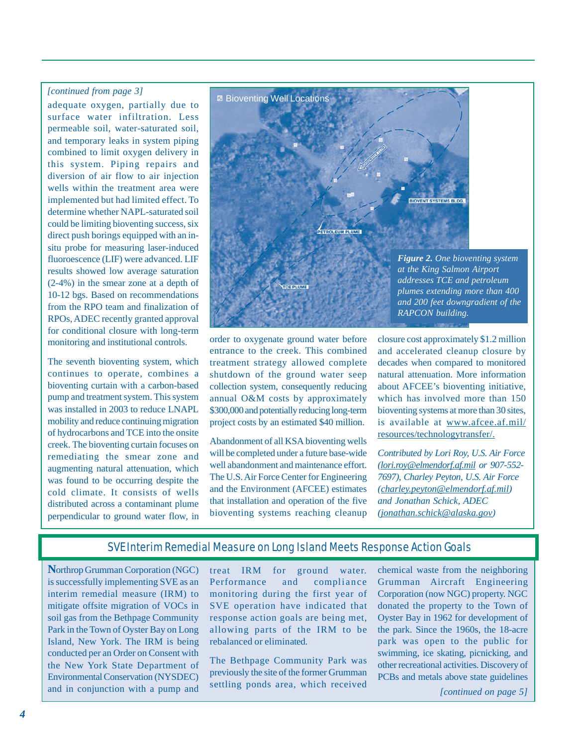#### *[continued from page 3]*

adequate oxygen, partially due to surface water infiltration. Less permeable soil, water-saturated soil, and temporary leaks in system piping combined to limit oxygen delivery in this system. Piping repairs and diversion of air flow to air injection wells within the treatment area were implemented but had limited effect. To determine whether NAPL-saturated soil could be limiting bioventing success, six direct push borings equipped with an insitu probe for measuring laser-induced fluoroescence (LIF) were advanced. LIF results showed low average saturation (2-4%) in the smear zone at a depth of 10-12 bgs. Based on recommendations from the RPO team and finalization of RPOs, ADEC recently granted approval for conditional closure with long-term monitoring and institutional controls.

The seventh bioventing system, which continues to operate, combines a bioventing curtain with a carbon-based pump and treatment system. This system was installed in 2003 to reduce LNAPL mobility and reduce continuing migration of hydrocarbons and TCE into the onsite creek. The bioventing curtain focuses on remediating the smear zone and augmenting natural attenuation, which was found to be occurring despite the cold climate. It consists of wells distributed across a contaminant plume perpendicular to ground water flow, in



order to oxygenate ground water before entrance to the creek. This combined treatment strategy allowed complete shutdown of the ground water seep collection system, consequently reducing annual O&M costs by approximately \$300,000 and potentially reducing long-term project costs by an estimated \$40 million.

Abandonment of all KSA bioventing wells will be completed under a future base-wide well abandonment and maintenance effort. The U.S. Air Force Center for Engineering and the Environment (AFCEE) estimates that installation and operation of the five bioventing systems reaching cleanup

closure cost approximately \$1.2 million and accelerated cleanup closure by decades when compared to monitored natural attenuation. More information about AFCEE's bioventing initiative, which has involved more than 150 bioventing systems at more than 30 sites, is available at www.afcee.af.mil/ resources/technologytransfer/.

*Contributed by Lori Roy, U.S. Air Force (lori.roy@elmendorf.af.mil or 907-552- 7697), Charley Peyton, U.S. Air Force (charley.peyton@elmendorf.af.mil) and Jonathan Schick, ADEC (jonathan.schick@alaska.gov)*

### SVE Interim Remedial Measure on Long Island Meets Response Action Goals

**N**orthrop Grumman Corporation (NGC) is successfully implementing SVE as an interim remedial measure (IRM) to mitigate offsite migration of VOCs in soil gas from the Bethpage Community Park in the Town of Oyster Bay on Long Island, New York. The IRM is being conducted per an Order on Consent with the New York State Department of Environmental Conservation (NYSDEC) and in conjunction with a pump and

treat IRM for ground water. Performance and compliance monitoring during the first year of SVE operation have indicated that response action goals are being met, allowing parts of the IRM to be rebalanced or eliminated.

The Bethpage Community Park was previously the site of the former Grumman settling ponds area, which received

chemical waste from the neighboring Grumman Aircraft Engineering Corporation (now NGC) property. NGC donated the property to the Town of Oyster Bay in 1962 for development of the park. Since the 1960s, the 18-acre park was open to the public for swimming, ice skating, picnicking, and other recreational activities. Discovery of PCBs and metals above state guidelines

*[continued on page 5]*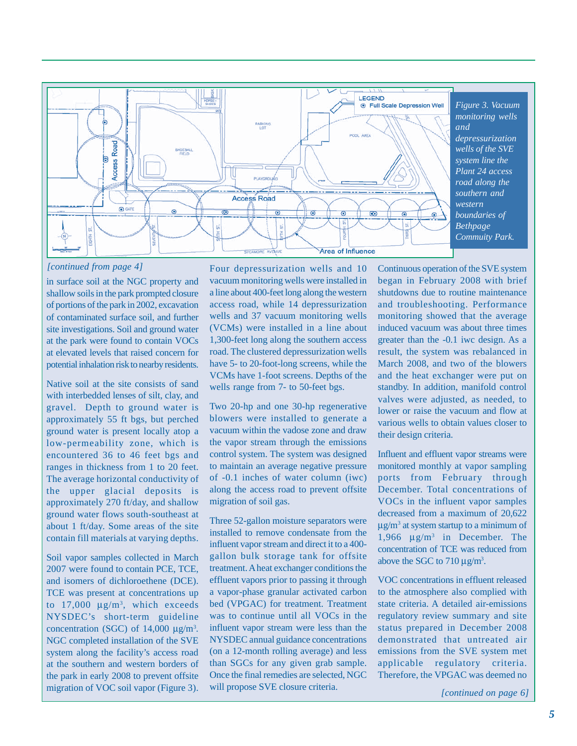

*[continued from page 4]*

in surface soil at the NGC property and shallow soils in the park prompted closure of portions of the park in 2002, excavation of contaminated surface soil, and further site investigations. Soil and ground water at the park were found to contain VOCs at elevated levels that raised concern for potential inhalation risk to nearby residents.

Native soil at the site consists of sand with interbedded lenses of silt, clay, and gravel. Depth to ground water is approximately 55 ft bgs, but perched ground water is present locally atop a low-permeability zone, which is encountered 36 to 46 feet bgs and ranges in thickness from 1 to 20 feet. The average horizontal conductivity of the upper glacial deposits is approximately 270 ft/day, and shallow ground water flows south-southeast at about 1 ft/day. Some areas of the site contain fill materials at varying depths.

Soil vapor samples collected in March 2007 were found to contain PCE, TCE, and isomers of dichloroethene (DCE). TCE was present at concentrations up to  $17,000 \text{ }\mu\text{g/m}^3$ , which exceeds NYSDEC's short-term guideline concentration (SGC) of  $14,000 \text{ }\mu\text{g/m}^3$ . NGC completed installation of the SVE system along the facility's access road at the southern and western borders of the park in early 2008 to prevent offsite migration of VOC soil vapor (Figure 3).

Four depressurization wells and 10 vacuum monitoring wells were installed in a line about 400-feet long along the western access road, while 14 depressurization wells and 37 vacuum monitoring wells (VCMs) were installed in a line about 1,300-feet long along the southern access road. The clustered depressurization wells have 5- to 20-foot-long screens, while the VCMs have 1-foot screens. Depths of the wells range from 7- to 50-feet bgs.

Two 20-hp and one 30-hp regenerative blowers were installed to generate a vacuum within the vadose zone and draw the vapor stream through the emissions control system. The system was designed to maintain an average negative pressure of -0.1 inches of water column (iwc) along the access road to prevent offsite migration of soil gas.

Three 52-gallon moisture separators were installed to remove condensate from the influent vapor stream and direct it to a 400 gallon bulk storage tank for offsite treatment. A heat exchanger conditions the effluent vapors prior to passing it through a vapor-phase granular activated carbon bed (VPGAC) for treatment. Treatment was to continue until all VOCs in the influent vapor stream were less than the NYSDEC annual guidance concentrations (on a 12-month rolling average) and less than SGCs for any given grab sample. Once the final remedies are selected, NGC will propose SVE closure criteria.

Continuous operation of the SVE system began in February 2008 with brief shutdowns due to routine maintenance and troubleshooting. Performance monitoring showed that the average induced vacuum was about three times greater than the -0.1 iwc design. As a result, the system was rebalanced in March 2008, and two of the blowers and the heat exchanger were put on standby. In addition, manifold control valves were adjusted, as needed, to lower or raise the vacuum and flow at various wells to obtain values closer to their design criteria.

Influent and effluent vapor streams were monitored monthly at vapor sampling ports from February through December. Total concentrations of VOCs in the influent vapor samples decreased from a maximum of 20,622  $\mu$ g/m<sup>3</sup> at system startup to a minimum of 1,966 μg/m3 in December. The concentration of TCE was reduced from above the SGC to  $710 \mu g/m^3$ .

VOC concentrations in effluent released to the atmosphere also complied with state criteria. A detailed air-emissions regulatory review summary and site status prepared in December 2008 demonstrated that untreated air emissions from the SVE system met applicable regulatory criteria. Therefore, the VPGAC was deemed no

*[continued on page 6]*